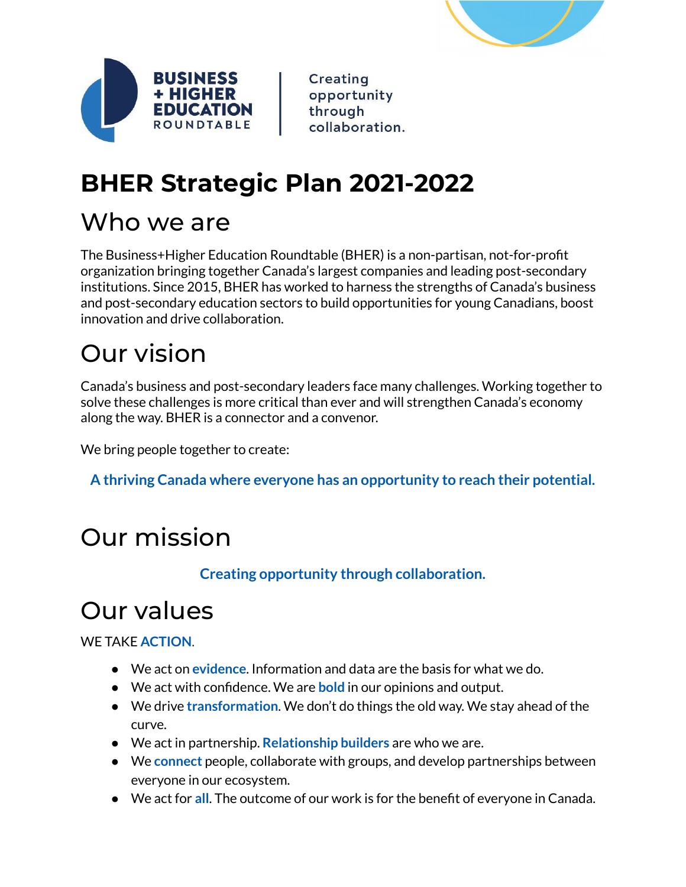



Creating opportunity through collaboration.

# **BHER Strategic Plan 2021-2022**

# Who we are

The Business+Higher Education Roundtable (BHER) is a non-partisan, not-for-profit organization bringing together Canada's largest companies and leading post-secondary institutions. Since 2015, BHER has worked to harness the strengths of Canada's business and post-secondary education sectors to build opportunities for young Canadians, boost innovation and drive collaboration.

# Our vision

Canada's business and post-secondary leaders face many challenges. Working together to solve these challenges is more critical than ever and will strengthen Canada's economy along the way. BHER is a connector and a convenor.

We bring people together to create:

**A thriving Canada where everyone has an opportunity to reach their potential.**

# Our mission

**Creating opportunity through collaboration.**

# Our values

WE TAKE **ACTION**.

- We act on **evidence**. Information and data are the basis for what we do.
- We act with confidence. We are **bold** in our opinions and output.
- We drive **transformation**. We don't do things the old way. We stay ahead of the curve.
- We act in partnership. **Relationship builders** are who we are.
- We **connect** people, collaborate with groups, and develop partnerships between everyone in our ecosystem.
- We act for **all**. The outcome of our work is for the benefit of everyone in Canada.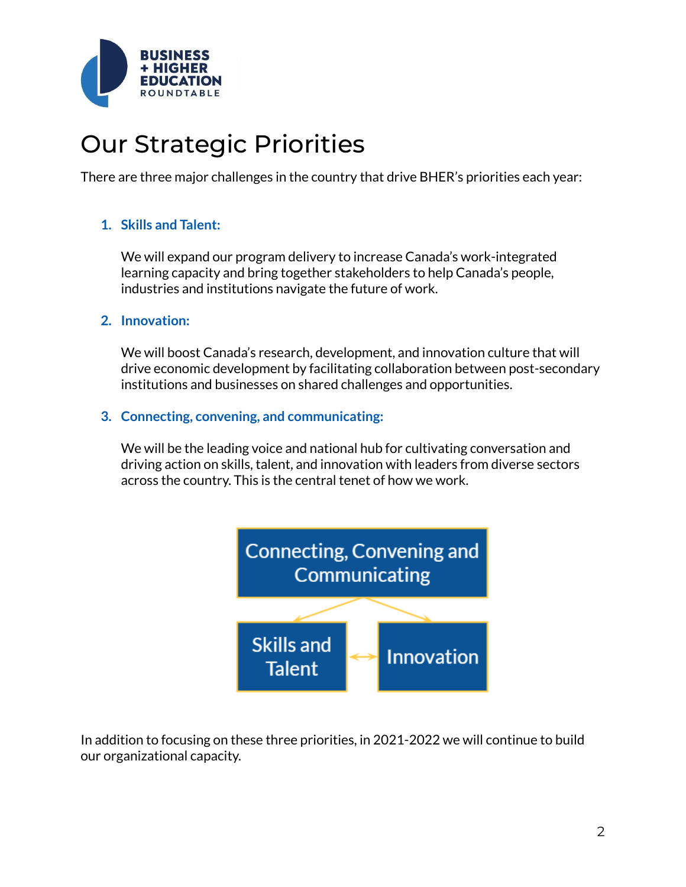

# Our Strategic Priorities

There are three major challenges in the country that drive BHER's priorities each year:

## **1. Skills and Talent:**

We will expand our program delivery to increase Canada's work-integrated learning capacity and bring together stakeholders to help Canada's people, industries and institutions navigate the future of work.

### **2. Innovation:**

We will boost Canada's research, development, and innovation culture that will drive economic development by facilitating collaboration between post-secondary institutions and businesses on shared challenges and opportunities.

## **3. Connecting, convening, and communicating:**

We will be the leading voice and national hub for cultivating conversation and driving action on skills, talent, and innovation with leaders from diverse sectors across the country. This is the central tenet of how we work.



In addition to focusing on these three priorities, in 2021-2022 we will continue to build our organizational capacity.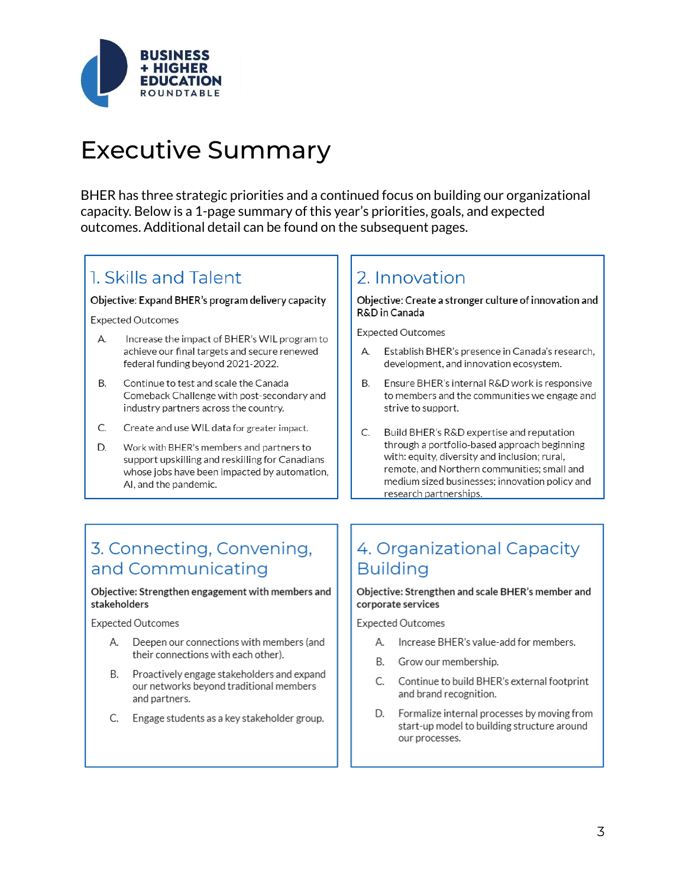

# Executive Summary

BHER has three strategic priorities and a continued focus on building our organizational capacity. Below is a 1-page summary of this year's priorities, goals, and expected outcomes. Additional detail can be found on the subsequent pages.

## 1. Skills and Talent

#### Objective: Expand BHER's program delivery capacity

**Expected Outcomes** 

- А. Increase the impact of BHER's WIL program to achieve our final targets and secure renewed federal funding beyond 2021-2022.
- $\mathsf{R}$ Continue to test and scale the Canada Comeback Challenge with post-secondary and industry partners across the country.
- C. Create and use WIL data for greater impact.
- Work with BHER's members and partners to D. support upskilling and reskilling for Canadians whose jobs have been impacted by automation, AI, and the pandemic.

## 2. Innovation

Objective: Create a stronger culture of innovation and R&D in Canada

**Expected Outcomes** 

- Establish BHER's presence in Canada's research, A development, and innovation ecosystem.
- Ensure BHER's internal R&D work is responsive Β. to members and the communities we engage and strive to support.
- C. Build BHER's R&D expertise and reputation through a portfolio-based approach beginning with: equity, diversity and inclusion; rural, remote, and Northern communities; small and medium sized businesses; innovation policy and research partnerships.

## 3. Connecting, Convening, and Communicating

#### Objective: Strengthen engagement with members and stakeholders

**Expected Outcomes** 

- A. Deepen our connections with members (and their connections with each other).
- **B.** Proactively engage stakeholders and expand our networks beyond traditional members and partners.
- C. Engage students as a key stakeholder group.

## 4. Organizational Capacity **Building**

#### Objective: Strengthen and scale BHER's member and corporate services

**Expected Outcomes** 

- A. Increase BHER's value-add for members.
- B. Grow our membership.
- C. Continue to build BHER's external footprint and brand recognition.
- D. Formalize internal processes by moving from start-up model to building structure around our processes.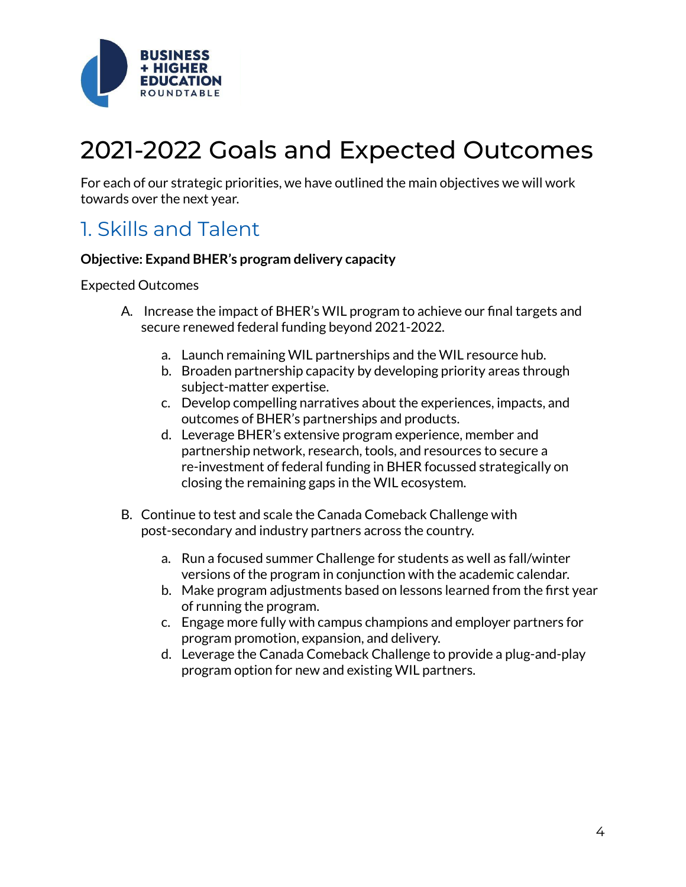

# 2021-2022 Goals and Expected Outcomes

For each of our strategic priorities, we have outlined the main objectives we will work towards over the next year.

## 1. Skills and Talent

#### **Objective: Expand BHER's program delivery capacity**

#### Expected Outcomes

- A. Increase the impact of BHER's WIL program to achieve our final targets and secure renewed federal funding beyond 2021-2022.
	- a. Launch remaining WIL partnerships and the WIL resource hub.
	- b. Broaden partnership capacity by developing priority areas through subject-matter expertise.
	- c. Develop compelling narratives about the experiences, impacts, and outcomes of BHER's partnerships and products.
	- d. Leverage BHER's extensive program experience, member and partnership network, research, tools, and resources to secure a re-investment of federal funding in BHER focussed strategically on closing the remaining gaps in the WIL ecosystem.
- B. Continue to test and scale the Canada Comeback Challenge with post-secondary and industry partners across the country.
	- a. Run a focused summer Challenge for students as well as fall/winter versions of the program in conjunction with the academic calendar.
	- b. Make program adjustments based on lessons learned from the first year of running the program.
	- c. Engage more fully with campus champions and employer partners for program promotion, expansion, and delivery.
	- d. Leverage the Canada Comeback Challenge to provide a plug-and-play program option for new and existing WIL partners.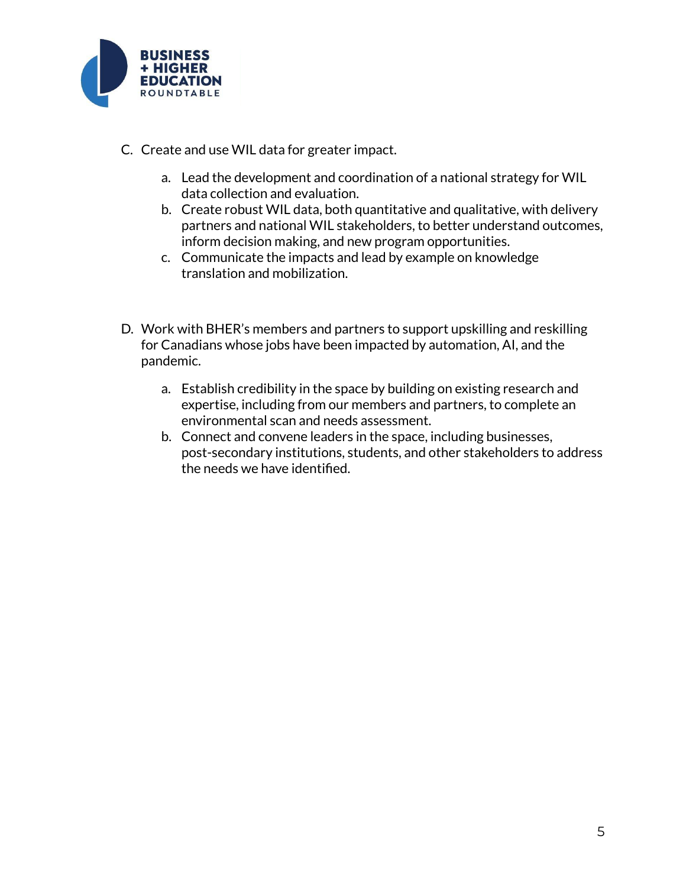

- C. Create and use WIL data for greater impact.
	- a. Lead the development and coordination of a national strategy for WIL data collection and evaluation.
	- b. Create robust WIL data, both quantitative and qualitative, with delivery partners and national WIL stakeholders, to better understand outcomes, inform decision making, and new program opportunities.
	- c. Communicate the impacts and lead by example on knowledge translation and mobilization.
- D. Work with BHER's members and partners to support upskilling and reskilling for Canadians whose jobs have been impacted by automation, AI, and the pandemic.
	- a. Establish credibility in the space by building on existing research and expertise, including from our members and partners, to complete an environmental scan and needs assessment.
	- b. Connect and convene leaders in the space, including businesses, post-secondary institutions, students, and other stakeholders to address the needs we have identified.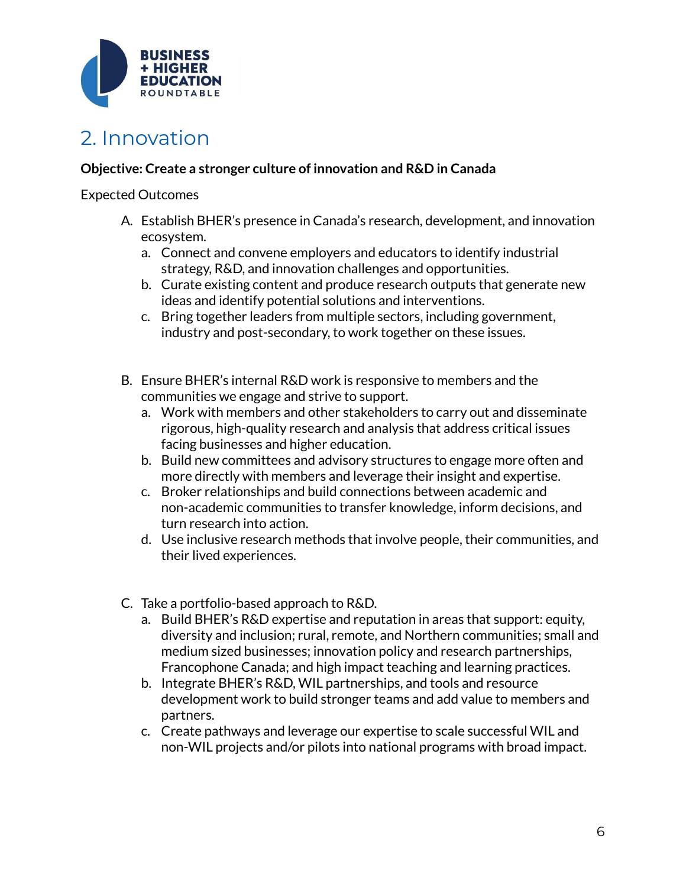

## 2. Innovation

## **Objective: Create a stronger culture of innovation and R&D in Canada**

#### Expected Outcomes

- A. Establish BHER's presence in Canada's research, development, and innovation ecosystem.
	- a. Connect and convene employers and educators to identify industrial strategy, R&D, and innovation challenges and opportunities.
	- b. Curate existing content and produce research outputs that generate new ideas and identify potential solutions and interventions.
	- c. Bring together leaders from multiple sectors, including government, industry and post-secondary, to work together on these issues.
- B. Ensure BHER's internal R&D work is responsive to members and the communities we engage and strive to support.
	- a. Work with members and other stakeholders to carry out and disseminate rigorous, high-quality research and analysis that address critical issues facing businesses and higher education.
	- b. Build new committees and advisory structures to engage more often and more directly with members and leverage their insight and expertise.
	- c. Broker relationships and build connections between academic and non-academic communities to transfer knowledge, inform decisions, and turn research into action.
	- d. Use inclusive research methods that involve people, their communities, and their lived experiences.
- C. Take a portfolio-based approach to R&D.
	- a. Build BHER's R&D expertise and reputation in areas that support: equity, diversity and inclusion; rural, remote, and Northern communities; small and medium sized businesses; innovation policy and research partnerships, Francophone Canada; and high impact teaching and learning practices.
	- b. Integrate BHER's R&D, WIL partnerships, and tools and resource development work to build stronger teams and add value to members and partners.
	- c. Create pathways and leverage our expertise to scale successful WIL and non-WIL projects and/or pilots into national programs with broad impact.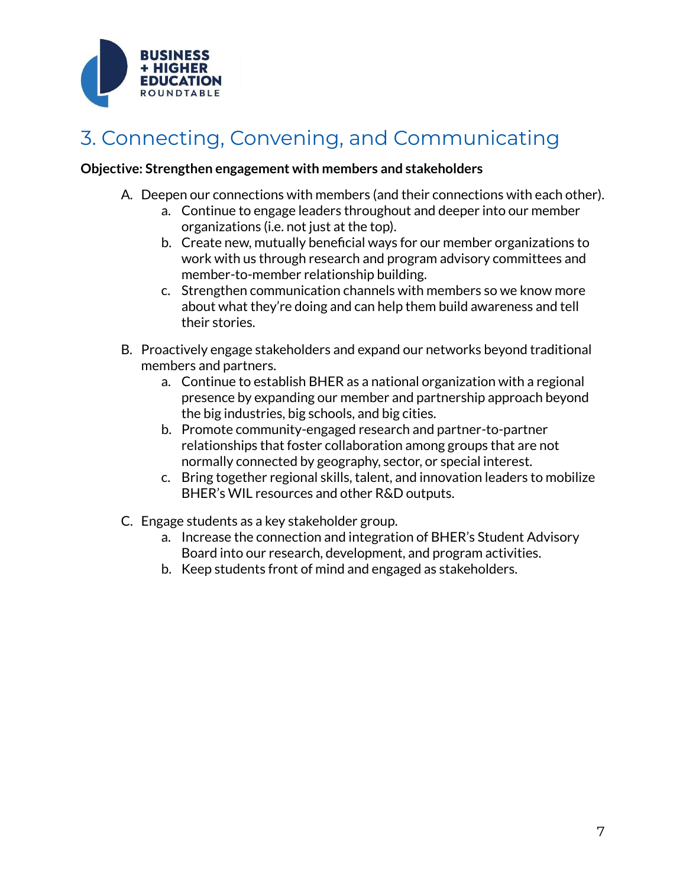

## 3. Connecting, Convening, and Communicating

#### **Objective: Strengthen engagement with members and stakeholders**

- A. Deepen our connections with members (and their connections with each other).
	- a. Continue to engage leaders throughout and deeper into our member organizations (i.e. not just at the top).
	- b. Create new, mutually beneficial ways for our member organizations to work with us through research and program advisory committees and member-to-member relationship building.
	- c. Strengthen communication channels with members so we know more about what they're doing and can help them build awareness and tell their stories.
- B. Proactively engage stakeholders and expand our networks beyond traditional members and partners.
	- a. Continue to establish BHER as a national organization with a regional presence by expanding our member and partnership approach beyond the big industries, big schools, and big cities.
	- b. Promote community-engaged research and partner-to-partner relationships that foster collaboration among groups that are not normally connected by geography, sector, or special interest.
	- c. Bring together regional skills, talent, and innovation leaders to mobilize BHER's WIL resources and other R&D outputs.
- C. Engage students as a key stakeholder group.
	- a. Increase the connection and integration of BHER's Student Advisory Board into our research, development, and program activities.
	- b. Keep students front of mind and engaged as stakeholders.